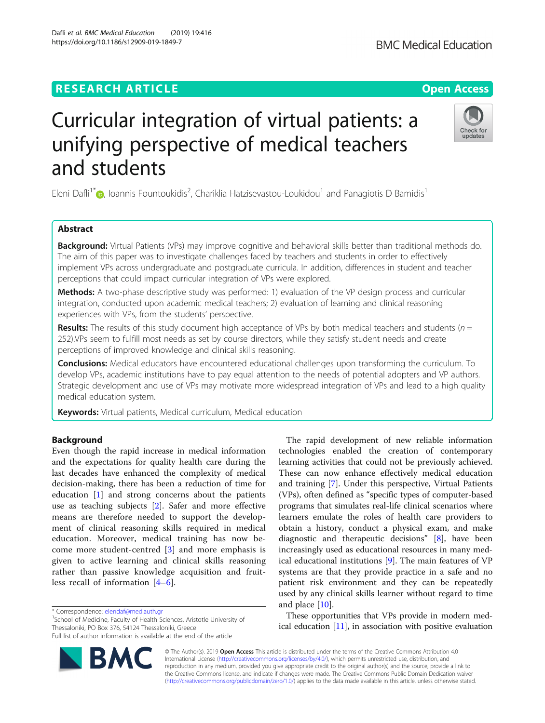# **RESEARCH ARTICLE Example 2014 CONSIDERING A RESEARCH ARTICLE**

# Curricular integration of virtual patients: a unifying perspective of medical teachers and students

Eleni Dafli<sup>1\*</sup> $\textcolor{blue}{\bullet}$ [,](http://orcid.org/0000-0002-2439-090X) Ioannis Fountoukidis<sup>2</sup>, Chariklia Hatzisevastou-Loukidou<sup>1</sup> and Panagiotis D Bamidis<sup>1</sup>

# Abstract

Background: Virtual Patients (VPs) may improve cognitive and behavioral skills better than traditional methods do. The aim of this paper was to investigate challenges faced by teachers and students in order to effectively implement VPs across undergraduate and postgraduate curricula. In addition, differences in student and teacher perceptions that could impact curricular integration of VPs were explored.

Methods: A two-phase descriptive study was performed: 1) evaluation of the VP design process and curricular integration, conducted upon academic medical teachers; 2) evaluation of learning and clinical reasoning experiences with VPs, from the students' perspective.

**Results:** The results of this study document high acceptance of VPs by both medical teachers and students ( $n =$ 252).VPs seem to fulfill most needs as set by course directors, while they satisfy student needs and create perceptions of improved knowledge and clinical skills reasoning.

Conclusions: Medical educators have encountered educational challenges upon transforming the curriculum. To develop VPs, academic institutions have to pay equal attention to the needs of potential adopters and VP authors. Strategic development and use of VPs may motivate more widespread integration of VPs and lead to a high quality medical education system.

Keywords: Virtual patients, Medical curriculum, Medical education

# Background

Even though the rapid increase in medical information and the expectations for quality health care during the last decades have enhanced the complexity of medical decision-making, there has been a reduction of time for education [\[1](#page-9-0)] and strong concerns about the patients use as teaching subjects [\[2](#page-9-0)]. Safer and more effective means are therefore needed to support the development of clinical reasoning skills required in medical education. Moreover, medical training has now become more student-centred [\[3](#page-9-0)] and more emphasis is given to active learning and clinical skills reasoning rather than passive knowledge acquisition and fruitless recall of information [[4](#page-9-0)–[6\]](#page-9-0).

\* Correspondence: [elendaf@med.auth.gr](mailto:elendaf@med.auth.gr) <sup>1</sup>

<sup>1</sup>School of Medicine, Faculty of Health Sciences, Aristotle University of Thessaloniki, PO Box 376, 54124 Thessaloniki, Greece

© The Author(s). 2019 Open Access This article is distributed under the terms of the Creative Commons Attribution 4.0 International License [\(http://creativecommons.org/licenses/by/4.0/](http://creativecommons.org/licenses/by/4.0/)), which permits unrestricted use, distribution, and reproduction in any medium, provided you give appropriate credit to the original author(s) and the source, provide a link to the Creative Commons license, and indicate if changes were made. The Creative Commons Public Domain Dedication waiver [\(http://creativecommons.org/publicdomain/zero/1.0/](http://creativecommons.org/publicdomain/zero/1.0/)) applies to the data made available in this article, unless otherwise stated.

and place [[10\]](#page-9-0).

The rapid development of new reliable information technologies enabled the creation of contemporary learning activities that could not be previously achieved. These can now enhance effectively medical education and training [[7\]](#page-9-0). Under this perspective, Virtual Patients (VPs), often defined as "specific types of computer-based programs that simulates real-life clinical scenarios where learners emulate the roles of health care providers to obtain a history, conduct a physical exam, and make diagnostic and therapeutic decisions" [\[8](#page-9-0)], have been increasingly used as educational resources in many medical educational institutions [[9\]](#page-9-0). The main features of VP systems are that they provide practice in a safe and no patient risk environment and they can be repeatedly used by any clinical skills learner without regard to time

These opportunities that VPs provide in modern medical education  $[11]$ , in association with positive evaluation







Full list of author information is available at the end of the article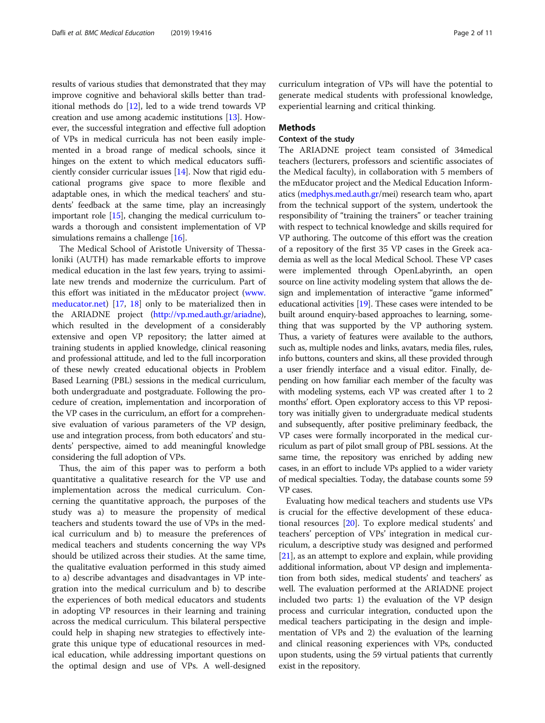results of various studies that demonstrated that they may improve cognitive and behavioral skills better than traditional methods do [\[12\]](#page-9-0), led to a wide trend towards VP creation and use among academic institutions [[13](#page-9-0)]. However, the successful integration and effective full adoption of VPs in medical curricula has not been easily implemented in a broad range of medical schools, since it hinges on the extent to which medical educators sufficiently consider curricular issues [\[14\]](#page-9-0). Now that rigid educational programs give space to more flexible and adaptable ones, in which the medical teachers' and students' feedback at the same time, play an increasingly important role [\[15\]](#page-9-0), changing the medical curriculum towards a thorough and consistent implementation of VP simulations remains a challenge [[16](#page-9-0)].

The Medical School of Aristotle University of Thessaloniki (AUTH) has made remarkable efforts to improve medical education in the last few years, trying to assimilate new trends and modernize the curriculum. Part of this effort was initiated in the mEducator project ([www.](http://www.meducator.net) [meducator.net\)](http://www.meducator.net) [\[17,](#page-9-0) [18\]](#page-9-0) only to be materialized then in the ARIADNE project (<http://vp.med.auth.gr/ariadne>), which resulted in the development of a considerably extensive and open VP repository; the latter aimed at training students in applied knowledge, clinical reasoning and professional attitude, and led to the full incorporation of these newly created educational objects in Problem Based Learning (PBL) sessions in the medical curriculum, both undergraduate and postgraduate. Following the procedure of creation, implementation and incorporation of the VP cases in the curriculum, an effort for a comprehensive evaluation of various parameters of the VP design, use and integration process, from both educators' and students' perspective, aimed to add meaningful knowledge considering the full adoption of VPs.

Thus, the aim of this paper was to perform a both quantitative a qualitative research for the VP use and implementation across the medical curriculum. Concerning the quantitative approach, the purposes of the study was a) to measure the propensity of medical teachers and students toward the use of VPs in the medical curriculum and b) to measure the preferences of medical teachers and students concerning the way VPs should be utilized across their studies. At the same time, the qualitative evaluation performed in this study aimed to a) describe advantages and disadvantages in VP integration into the medical curriculum and b) to describe the experiences of both medical educators and students in adopting VP resources in their learning and training across the medical curriculum. This bilateral perspective could help in shaping new strategies to effectively integrate this unique type of educational resources in medical education, while addressing important questions on the optimal design and use of VPs. A well-designed

curriculum integration of VPs will have the potential to generate medical students with professional knowledge, experiential learning and critical thinking.

# **Methods**

# Context of the study

The ARIADNE project team consisted of 34medical teachers (lecturers, professors and scientific associates of the Medical faculty), in collaboration with 5 members of the mEducator project and the Medical Education Informatics [\(medphys.med.auth.gr/](http://medphys.med.auth.gr)mei) research team who, apart from the technical support of the system, undertook the responsibility of "training the trainers" or teacher training with respect to technical knowledge and skills required for VP authoring. The outcome of this effort was the creation of a repository of the first 35 VP cases in the Greek academia as well as the local Medical School. These VP cases were implemented through OpenLabyrinth, an open source on line activity modeling system that allows the design and implementation of interactive "game informed" educational activities [[19](#page-9-0)]. These cases were intended to be built around enquiry-based approaches to learning, something that was supported by the VP authoring system. Thus, a variety of features were available to the authors, such as, multiple nodes and links, avatars, media files, rules, info buttons, counters and skins, all these provided through a user friendly interface and a visual editor. Finally, depending on how familiar each member of the faculty was with modeling systems, each VP was created after 1 to 2 months' effort. Open exploratory access to this VP repository was initially given to undergraduate medical students and subsequently, after positive preliminary feedback, the VP cases were formally incorporated in the medical curriculum as part of pilot small group of PBL sessions. At the same time, the repository was enriched by adding new cases, in an effort to include VPs applied to a wider variety of medical specialties. Today, the database counts some 59 VP cases.

Evaluating how medical teachers and students use VPs is crucial for the effective development of these educational resources [[20\]](#page-9-0). To explore medical students' and teachers' perception of VPs' integration in medical curriculum, a descriptive study was designed and performed [[21](#page-9-0)], as an attempt to explore and explain, while providing additional information, about VP design and implementation from both sides, medical students' and teachers' as well. The evaluation performed at the ARIADNE project included two parts: 1) the evaluation of the VP design process and curricular integration, conducted upon the medical teachers participating in the design and implementation of VPs and 2) the evaluation of the learning and clinical reasoning experiences with VPs, conducted upon students, using the 59 virtual patients that currently exist in the repository.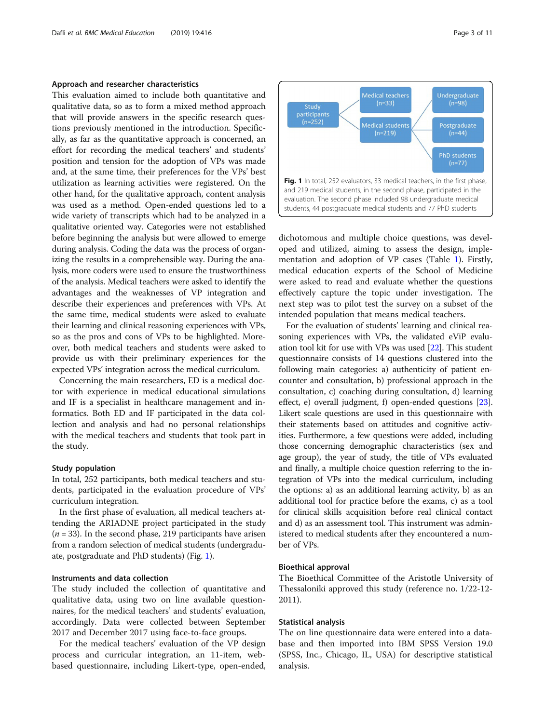#### Approach and researcher characteristics

This evaluation aimed to include both quantitative and qualitative data, so as to form a mixed method approach that will provide answers in the specific research questions previously mentioned in the introduction. Specifically, as far as the quantitative approach is concerned, an effort for recording the medical teachers' and students' position and tension for the adoption of VPs was made and, at the same time, their preferences for the VPs' best utilization as learning activities were registered. On the other hand, for the qualitative approach, content analysis was used as a method. Open-ended questions led to a wide variety of transcripts which had to be analyzed in a qualitative oriented way. Categories were not established before beginning the analysis but were allowed to emerge during analysis. Coding the data was the process of organizing the results in a comprehensible way. During the analysis, more coders were used to ensure the trustworthiness of the analysis. Medical teachers were asked to identify the advantages and the weaknesses of VP integration and describe their experiences and preferences with VPs. At the same time, medical students were asked to evaluate their learning and clinical reasoning experiences with VPs, so as the pros and cons of VPs to be highlighted. Moreover, both medical teachers and students were asked to provide us with their preliminary experiences for the expected VPs' integration across the medical curriculum.

Concerning the main researchers, ED is a medical doctor with experience in medical educational simulations and IF is a specialist in healthcare management and informatics. Both ED and IF participated in the data collection and analysis and had no personal relationships with the medical teachers and students that took part in the study.

## Study population

In total, 252 participants, both medical teachers and students, participated in the evaluation procedure of VPs' curriculum integration.

In the first phase of evaluation, all medical teachers attending the ARIADNE project participated in the study  $(n = 33)$ . In the second phase, 219 participants have arisen from a random selection of medical students (undergraduate, postgraduate and PhD students) (Fig. 1).

# Instruments and data collection

The study included the collection of quantitative and qualitative data, using two on line available questionnaires, for the medical teachers' and students' evaluation, accordingly. Data were collected between September 2017 and December 2017 using face-to-face groups.

For the medical teachers' evaluation of the VP design process and curricular integration, an 11-item, webbased questionnaire, including Likert-type, open-ended,



dichotomous and multiple choice questions, was developed and utilized, aiming to assess the design, implementation and adoption of VP cases (Table [1](#page-3-0)). Firstly, medical education experts of the School of Medicine were asked to read and evaluate whether the questions effectively capture the topic under investigation. The next step was to pilot test the survey on a subset of the intended population that means medical teachers.

For the evaluation of students' learning and clinical reasoning experiences with VPs, the validated eViP evaluation tool kit for use with VPs was used [\[22](#page-9-0)]. This student questionnaire consists of 14 questions clustered into the following main categories: a) authenticity of patient encounter and consultation, b) professional approach in the consultation, c) coaching during consultation, d) learning effect, e) overall judgment, f) open-ended questions [[23](#page-9-0)]. Likert scale questions are used in this questionnaire with their statements based on attitudes and cognitive activities. Furthermore, a few questions were added, including those concerning demographic characteristics (sex and age group), the year of study, the title of VPs evaluated and finally, a multiple choice question referring to the integration of VPs into the medical curriculum, including the options: a) as an additional learning activity, b) as an additional tool for practice before the exams, c) as a tool for clinical skills acquisition before real clinical contact and d) as an assessment tool. This instrument was administered to medical students after they encountered a number of VPs.

#### Bioethical approval

The Bioethical Committee of the Aristotle University of Thessaloniki approved this study (reference no. 1/22-12- 2011).

# Statistical analysis

The on line questionnaire data were entered into a database and then imported into IBM SPSS Version 19.0 (SPSS, Inc., Chicago, IL, USA) for descriptive statistical analysis.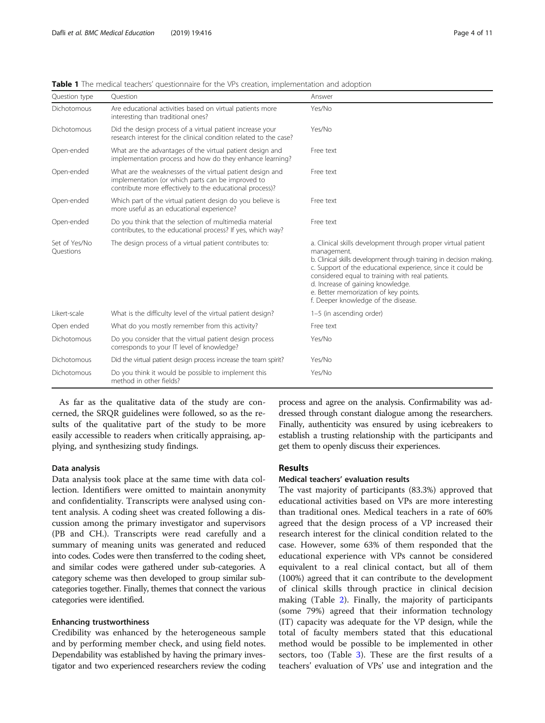| Question type              | Question                                                                                                                                                                   | Answer                                                                                                                                                                                                                                                                                                                                                                                      |
|----------------------------|----------------------------------------------------------------------------------------------------------------------------------------------------------------------------|---------------------------------------------------------------------------------------------------------------------------------------------------------------------------------------------------------------------------------------------------------------------------------------------------------------------------------------------------------------------------------------------|
| Dichotomous                | Are educational activities based on virtual patients more<br>interesting than traditional ones?                                                                            | Yes/No                                                                                                                                                                                                                                                                                                                                                                                      |
| Dichotomous                | Did the design process of a virtual patient increase your<br>research interest for the clinical condition related to the case?                                             | Yes/No                                                                                                                                                                                                                                                                                                                                                                                      |
| Open-ended                 | What are the advantages of the virtual patient design and<br>implementation process and how do they enhance learning?                                                      | Free text                                                                                                                                                                                                                                                                                                                                                                                   |
| Open-ended                 | What are the weaknesses of the virtual patient design and<br>implementation (or which parts can be improved to<br>contribute more effectively to the educational process)? | Free text                                                                                                                                                                                                                                                                                                                                                                                   |
| Open-ended                 | Which part of the virtual patient design do you believe is<br>more useful as an educational experience?                                                                    | Free text                                                                                                                                                                                                                                                                                                                                                                                   |
| Open-ended                 | Do you think that the selection of multimedia material<br>contributes, to the educational process? If yes, which way?                                                      | Free text                                                                                                                                                                                                                                                                                                                                                                                   |
| Set of Yes/No<br>Ouestions | The design process of a virtual patient contributes to:                                                                                                                    | a. Clinical skills development through proper virtual patient<br>management.<br>b. Clinical skills development through training in decision making.<br>c. Support of the educational experience, since it could be<br>considered equal to training with real patients.<br>d. Increase of gaining knowledge.<br>e. Better memorization of key points.<br>f. Deeper knowledge of the disease. |
| Likert-scale               | What is the difficulty level of the virtual patient design?                                                                                                                | 1-5 (in ascending order)                                                                                                                                                                                                                                                                                                                                                                    |
| Open ended                 | What do you mostly remember from this activity?                                                                                                                            | Free text                                                                                                                                                                                                                                                                                                                                                                                   |
| Dichotomous                | Do you consider that the virtual patient design process<br>corresponds to your IT level of knowledge?                                                                      | Yes/No                                                                                                                                                                                                                                                                                                                                                                                      |
| Dichotomous                | Did the virtual patient design process increase the team spirit?                                                                                                           | Yes/No                                                                                                                                                                                                                                                                                                                                                                                      |
| Dichotomous                | Do you think it would be possible to implement this<br>method in other fields?                                                                                             | Yes/No                                                                                                                                                                                                                                                                                                                                                                                      |

<span id="page-3-0"></span>Table 1 The medical teachers' questionnaire for the VPs creation, implementation and adoption

As far as the qualitative data of the study are concerned, the SRQR guidelines were followed, so as the results of the qualitative part of the study to be more easily accessible to readers when critically appraising, applying, and synthesizing study findings.

# Data analysis

Data analysis took place at the same time with data collection. Identifiers were omitted to maintain anonymity and confidentiality. Transcripts were analysed using content analysis. A coding sheet was created following a discussion among the primary investigator and supervisors (PB and CH.). Transcripts were read carefully and a summary of meaning units was generated and reduced into codes. Codes were then transferred to the coding sheet, and similar codes were gathered under sub-categories. A category scheme was then developed to group similar subcategories together. Finally, themes that connect the various categories were identified.

# Enhancing trustworthiness

Credibility was enhanced by the heterogeneous sample and by performing member check, and using field notes. Dependability was established by having the primary investigator and two experienced researchers review the coding

process and agree on the analysis. Confirmability was addressed through constant dialogue among the researchers. Finally, authenticity was ensured by using icebreakers to establish a trusting relationship with the participants and get them to openly discuss their experiences.

# Results

#### Medical teachers' evaluation results

The vast majority of participants (83.3%) approved that educational activities based on VPs are more interesting than traditional ones. Medical teachers in a rate of 60% agreed that the design process of a VP increased their research interest for the clinical condition related to the case. However, some 63% of them responded that the educational experience with VPs cannot be considered equivalent to a real clinical contact, but all of them (100%) agreed that it can contribute to the development of clinical skills through practice in clinical decision making (Table [2](#page-4-0)). Finally, the majority of participants (some 79%) agreed that their information technology (IT) capacity was adequate for the VP design, while the total of faculty members stated that this educational method would be possible to be implemented in other sectors, too (Table [3](#page-4-0)). These are the first results of a teachers' evaluation of VPs' use and integration and the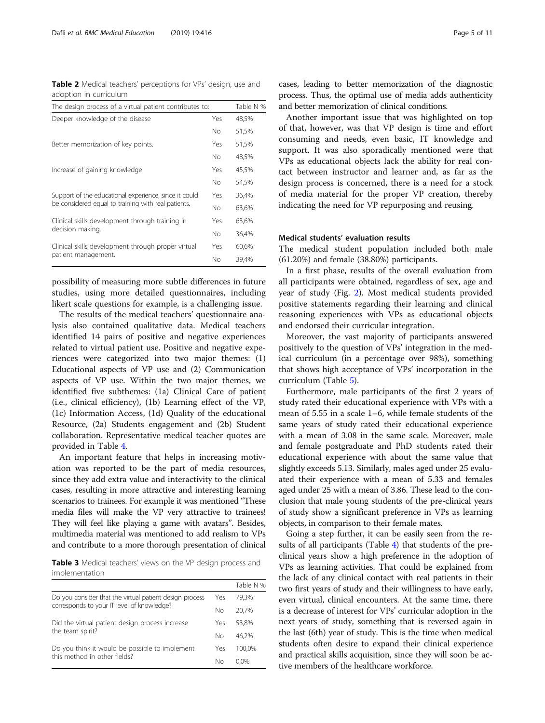<span id="page-4-0"></span>Table 2 Medical teachers' perceptions for VPs' design, use and adoption in curriculum

| The design process of a virtual patient contributes to:             | Table N %                           |       |
|---------------------------------------------------------------------|-------------------------------------|-------|
| Deeper knowledge of the disease                                     | Yes                                 | 48,5% |
|                                                                     | No                                  | 51,5% |
| Better memorization of key points.                                  | Yes                                 | 51,5% |
|                                                                     | Nο                                  | 48,5% |
| Increase of gaining knowledge                                       |                                     | 45,5% |
|                                                                     | Nο                                  | 54.5% |
| Support of the educational experience, since it could               | Yes                                 | 36.4% |
| be considered equal to training with real patients.                 | Yes<br>Nο<br>Yes<br>Nο<br>Yes<br>Νo | 63,6% |
| Clinical skills development through training in<br>decision making. |                                     | 63.6% |
|                                                                     |                                     | 36,4% |
| Clinical skills development through proper virtual                  |                                     | 60,6% |
| patient management.                                                 |                                     | 39.4% |

possibility of measuring more subtle differences in future studies, using more detailed questionnaires, including likert scale questions for example, is a challenging issue.

The results of the medical teachers' questionnaire analysis also contained qualitative data. Medical teachers identified 14 pairs of positive and negative experiences related to virtual patient use. Positive and negative experiences were categorized into two major themes: (1) Educational aspects of VP use and (2) Communication aspects of VP use. Within the two major themes, we identified five subthemes: (1a) Clinical Care of patient (i.e., clinical efficiency), (1b) Learning effect of the VP, (1c) Information Access, (1d) Quality of the educational Resource, (2a) Students engagement and (2b) Student collaboration. Representative medical teacher quotes are provided in Table [4](#page-5-0).

An important feature that helps in increasing motivation was reported to be the part of media resources, since they add extra value and interactivity to the clinical cases, resulting in more attractive and interesting learning scenarios to trainees. For example it was mentioned "These media files will make the VP very attractive to trainees! They will feel like playing a game with avatars". Besides, multimedia material was mentioned to add realism to VPs and contribute to a more thorough presentation of clinical

Table 3 Medical teachers' views on the VP design process and implementation

|                                                                                                       |     | Table N % |
|-------------------------------------------------------------------------------------------------------|-----|-----------|
| Do you consider that the virtual patient design process<br>corresponds to your IT level of knowledge? |     | 79.3%     |
|                                                                                                       |     | 20.7%     |
| Did the virtual patient design process increase                                                       |     | 53,8%     |
| the team spirit?                                                                                      | Nο  | 46.2%     |
| Do you think it would be possible to implement                                                        | Yes | 100.0%    |
| this method in other fields?                                                                          | Nο  | $0.0\%$   |

cases, leading to better memorization of the diagnostic process. Thus, the optimal use of media adds authenticity and better memorization of clinical conditions.

Another important issue that was highlighted on top of that, however, was that VP design is time and effort consuming and needs, even basic, IT knowledge and support. It was also sporadically mentioned were that VPs as educational objects lack the ability for real contact between instructor and learner and, as far as the design process is concerned, there is a need for a stock of media material for the proper VP creation, thereby indicating the need for VP repurposing and reusing.

## Medical students' evaluation results

The medical student population included both male (61.20%) and female (38.80%) participants.

In a first phase, results of the overall evaluation from all participants were obtained, regardless of sex, age and year of study (Fig. [2](#page-6-0)). Most medical students provided positive statements regarding their learning and clinical reasoning experiences with VPs as educational objects and endorsed their curricular integration.

Moreover, the vast majority of participants answered positively to the question of VPs' integration in the medical curriculum (in a percentage over 98%), something that shows high acceptance of VPs' incorporation in the curriculum (Table [5](#page-6-0)).

Furthermore, male participants of the first 2 years of study rated their educational experience with VPs with a mean of 5.55 in a scale 1–6, while female students of the same years of study rated their educational experience with a mean of 3.08 in the same scale. Moreover, male and female postgraduate and PhD students rated their educational experience with about the same value that slightly exceeds 5.13. Similarly, males aged under 25 evaluated their experience with a mean of 5.33 and females aged under 25 with a mean of 3.86. These lead to the conclusion that male young students of the pre-clinical years of study show a significant preference in VPs as learning objects, in comparison to their female mates.

Going a step further, it can be easily seen from the results of all participants (Table [4](#page-5-0)) that students of the preclinical years show a high preference in the adoption of VPs as learning activities. That could be explained from the lack of any clinical contact with real patients in their two first years of study and their willingness to have early, even virtual, clinical encounters. At the same time, there is a decrease of interest for VPs' curricular adoption in the next years of study, something that is reversed again in the last (6th) year of study. This is the time when medical students often desire to expand their clinical experience and practical skills acquisition, since they will soon be active members of the healthcare workforce.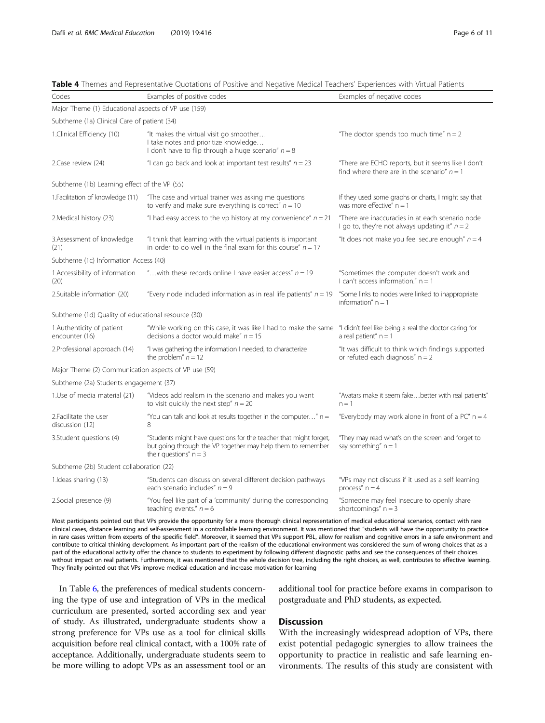| Codes                                                | Examples of positive codes                                                                                                                                        | Examples of negative codes                                                                           |  |  |
|------------------------------------------------------|-------------------------------------------------------------------------------------------------------------------------------------------------------------------|------------------------------------------------------------------------------------------------------|--|--|
| Major Theme (1) Educational aspects of VP use (159)  |                                                                                                                                                                   |                                                                                                      |  |  |
| Subtheme (1a) Clinical Care of patient (34)          |                                                                                                                                                                   |                                                                                                      |  |  |
| 1.Clinical Efficiency (10)                           | "It makes the virtual visit go smoother<br>I take notes and prioritize knowledge<br>I don't have to flip through a huge scenario" $n = 8$                         | "The doctor spends too much time" $n = 2$                                                            |  |  |
| 2. Case review (24)                                  | "I can go back and look at important test results" $n = 23$                                                                                                       | "There are ECHO reports, but it seems like I don't<br>find where there are in the scenario" $n = 1$  |  |  |
| Subtheme (1b) Learning effect of the VP (55)         |                                                                                                                                                                   |                                                                                                      |  |  |
| 1. Facilitation of knowledge (11)                    | "The case and virtual trainer was asking me questions<br>to verify and make sure everything is correct" $n = 10$                                                  | If they used some graphs or charts, I might say that<br>was more effective" $n = 1$                  |  |  |
| 2. Medical history (23)                              | "I had easy access to the vp history at my convenience" $n = 21$                                                                                                  | "There are inaccuracies in at each scenario node<br>I go to, they're not always updating it" $n = 2$ |  |  |
| 3.Assessment of knowledge<br>(21)                    | "I think that learning with the virtual patients is important<br>in order to do well in the final exam for this course" $n = 17$                                  | "It does not make you feel secure enough" $n = 4$                                                    |  |  |
| Subtheme (1c) Information Access (40)                |                                                                                                                                                                   |                                                                                                      |  |  |
| 1. Accessibility of information<br>(20)              | " with these records online I have easier access" $n = 19$                                                                                                        | "Sometimes the computer doesn't work and<br>I can't access information." $n = 1$                     |  |  |
| 2.Suitable information (20)                          | "Every node included information as in real life patients" $n = 19$                                                                                               | "Some links to nodes were linked to inappropriate<br>information" $n = 1$                            |  |  |
| Subtheme (1d) Quality of educational resource (30)   |                                                                                                                                                                   |                                                                                                      |  |  |
| 1. Authenticity of patient<br>encounter (16)         | "While working on this case, it was like I had to make the same "I didn't feel like being a real the doctor caring for<br>decisions a doctor would make" $n = 15$ | a real patient" $n = 1$                                                                              |  |  |
| 2. Professional approach (14)                        | "I was gathering the information I needed, to characterize<br>the problem" $n = 12$                                                                               | "It was difficult to think which findings supported<br>or refuted each diagnosis" $n = 2$            |  |  |
| Major Theme (2) Communication aspects of VP use (59) |                                                                                                                                                                   |                                                                                                      |  |  |
| Subtheme (2a) Students engagement (37)               |                                                                                                                                                                   |                                                                                                      |  |  |
| 1.Use of media material (21)                         | "Videos add realism in the scenario and makes you want<br>to visit quickly the next step" $n = 20$                                                                | "Avatars make it seem fakebetter with real patients"<br>$n = 1$                                      |  |  |
| 2.Facilitate the user<br>discussion (12)             | "You can talk and look at results together in the computer" $n =$                                                                                                 | "Everybody may work alone in front of a PC" $n = 4$                                                  |  |  |
| 3.Student questions (4)                              | "Students might have questions for the teacher that might forget,<br>but going through the VP together may help them to remember<br>their questions" $n = 3$      | "They may read what's on the screen and forget to<br>say something" $n = 1$                          |  |  |
| Subtheme (2b) Student collaboration (22)             |                                                                                                                                                                   |                                                                                                      |  |  |
| 1.Ideas sharing (13)                                 | "Students can discuss on several different decision pathways<br>each scenario includes" $n = 9$                                                                   | "VPs may not discuss if it used as a self learning<br>process" $n = 4$                               |  |  |
| 2. Social presence (9)                               | "You feel like part of a 'community' during the corresponding<br>teaching events." $n = 6$                                                                        | "Someone may feel insecure to openly share<br>shortcomings" $n = 3$                                  |  |  |

<span id="page-5-0"></span>Table 4 Themes and Representative Quotations of Positive and Negative Medical Teachers' Experiences with Virtual Patients

Most participants pointed out that VPs provide the opportunity for a more thorough clinical representation of medical educational scenarios, contact with rare clinical cases, distance learning and self-assessment in a controllable learning environment. It was mentioned that "students will have the opportunity to practice in rare cases written from experts of the specific field". Moreover, it seemed that VPs support PBL, allow for realism and cognitive errors in a safe environment and contribute to critical thinking development. As important part of the realism of the educational environment was considered the sum of wrong choices that as a part of the educational activity offer the chance to students to experiment by following different diagnostic paths and see the consequences of their choices without impact on real patients. Furthermore, it was mentioned that the whole decision tree, including the right choices, as well, contributes to effective learning. They finally pointed out that VPs improve medical education and increase motivation for learning

In Table [6,](#page-7-0) the preferences of medical students concerning the type of use and integration of VPs in the medical curriculum are presented, sorted according sex and year of study. As illustrated, undergraduate students show a strong preference for VPs use as a tool for clinical skills acquisition before real clinical contact, with a 100% rate of acceptance. Additionally, undergraduate students seem to be more willing to adopt VPs as an assessment tool or an

additional tool for practice before exams in comparison to postgraduate and PhD students, as expected.

# **Discussion**

With the increasingly widespread adoption of VPs, there exist potential pedagogic synergies to allow trainees the opportunity to practice in realistic and safe learning environments. The results of this study are consistent with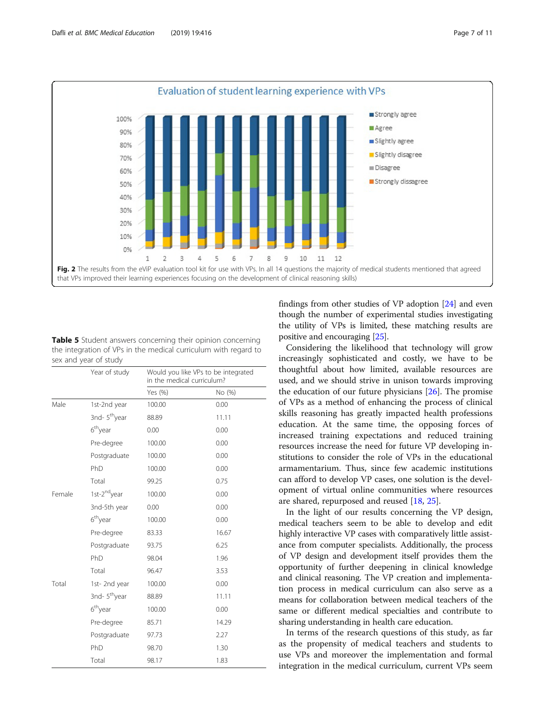<span id="page-6-0"></span>

Table 5 Student answers concerning their opinion concerning the integration of VPs in the medical curriculum with regard to sex and year of study

|        | Year of study            | Would you like VPs to be integrated<br>in the medical curriculum? |        |  |  |
|--------|--------------------------|-------------------------------------------------------------------|--------|--|--|
|        |                          | Yes (%)                                                           | No (%) |  |  |
| Male   | 1st-2nd year             | 100.00                                                            | 0.00   |  |  |
|        | 3nd-5 <sup>th</sup> year | 88.89                                                             | 11.11  |  |  |
|        | 6 <sup>th</sup> year     | 0.00                                                              | 0.00   |  |  |
|        | Pre-degree               | 100.00                                                            | 0.00   |  |  |
|        | Postgraduate             | 100.00                                                            | 0.00   |  |  |
|        | PhD                      | 100.00                                                            | 0.00   |  |  |
|        | Total                    | 99.25                                                             | 0.75   |  |  |
| Female | 1st-2 <sup>nd</sup> year | 100.00                                                            | 0.00   |  |  |
|        | 3nd-5th year             | 0.00                                                              | 0.00   |  |  |
|        | $6th$ year               | 100.00                                                            | 0.00   |  |  |
|        | Pre-degree               | 83.33                                                             | 16.67  |  |  |
|        | Postgraduate             | 93.75                                                             | 6.25   |  |  |
|        | PhD                      | 98.04                                                             | 1.96   |  |  |
|        | Total                    | 96.47                                                             | 3.53   |  |  |
| Total  | 1st-2nd year             | 100.00                                                            | 0.00   |  |  |
|        | 3nd-5 <sup>th</sup> year | 88.89                                                             | 11.11  |  |  |
|        | 6 <sup>th</sup> year     | 100.00                                                            | 0.00   |  |  |
|        | Pre-degree               | 85.71                                                             | 14.29  |  |  |
|        | Postgraduate             | 97.73                                                             | 2.27   |  |  |
|        | PhD                      | 98.70                                                             | 1.30   |  |  |
|        | Total                    | 98.17                                                             | 1.83   |  |  |
|        |                          |                                                                   |        |  |  |

findings from other studies of VP adoption [\[24\]](#page-9-0) and even though the number of experimental studies investigating the utility of VPs is limited, these matching results are positive and encouraging [\[25\]](#page-9-0).

Considering the likelihood that technology will grow increasingly sophisticated and costly, we have to be thoughtful about how limited, available resources are used, and we should strive in unison towards improving the education of our future physicians [\[26\]](#page-9-0). The promise of VPs as a method of enhancing the process of clinical skills reasoning has greatly impacted health professions education. At the same time, the opposing forces of increased training expectations and reduced training resources increase the need for future VP developing institutions to consider the role of VPs in the educational armamentarium. Thus, since few academic institutions can afford to develop VP cases, one solution is the development of virtual online communities where resources are shared, repurposed and reused [[18,](#page-9-0) [25\]](#page-9-0).

In the light of our results concerning the VP design, medical teachers seem to be able to develop and edit highly interactive VP cases with comparatively little assistance from computer specialists. Additionally, the process of VP design and development itself provides them the opportunity of further deepening in clinical knowledge and clinical reasoning. The VP creation and implementation process in medical curriculum can also serve as a means for collaboration between medical teachers of the same or different medical specialties and contribute to sharing understanding in health care education.

In terms of the research questions of this study, as far as the propensity of medical teachers and students to use VPs and moreover the implementation and formal integration in the medical curriculum, current VPs seem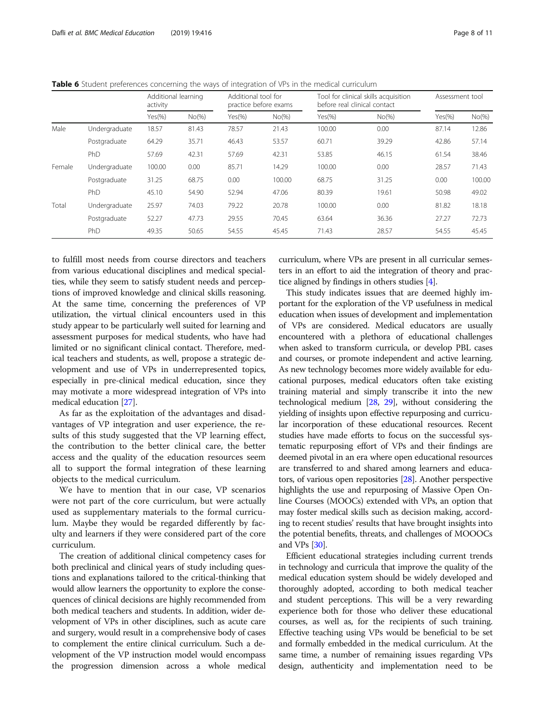|        |               | Additional learning<br>activity |          | Additional tool for<br>practice before exams |          | Tool for clinical skills acquisition<br>before real clinical contact |          | Assessment tool |          |
|--------|---------------|---------------------------------|----------|----------------------------------------------|----------|----------------------------------------------------------------------|----------|-----------------|----------|
|        |               | $Yes$ %)                        | $No(\%)$ | Yes(%)                                       | $No(\%)$ | $Yes$ %)                                                             | $No(\%)$ | Yes(%)          | $No(\%)$ |
| Male   | Undergraduate | 18.57                           | 81.43    | 78.57                                        | 21.43    | 100.00                                                               | 0.00     | 87.14           | 12.86    |
|        | Postgraduate  | 64.29                           | 35.71    | 46.43                                        | 53.57    | 60.71                                                                | 39.29    | 42.86           | 57.14    |
|        | PhD           | 57.69                           | 42.31    | 57.69                                        | 42.31    | 53.85                                                                | 46.15    | 61.54           | 38.46    |
| Female | Undergraduate | 100.00                          | 0.00     | 85.71                                        | 14.29    | 100.00                                                               | 0.00     | 28.57           | 71.43    |
|        | Postgraduate  | 31.25                           | 68.75    | 0.00                                         | 100.00   | 68.75                                                                | 31.25    | 0.00            | 100.00   |
|        | PhD           | 45.10                           | 54.90    | 52.94                                        | 47.06    | 80.39                                                                | 19.61    | 50.98           | 49.02    |
| Total  | Undergraduate | 25.97                           | 74.03    | 79.22                                        | 20.78    | 100.00                                                               | 0.00     | 81.82           | 18.18    |
|        | Postgraduate  | 52.27                           | 47.73    | 29.55                                        | 70.45    | 63.64                                                                | 36.36    | 27.27           | 72.73    |
|        | PhD           | 49.35                           | 50.65    | 54.55                                        | 45.45    | 71.43                                                                | 28.57    | 54.55           | 45.45    |

<span id="page-7-0"></span>Table 6 Student preferences concerning the ways of integration of VPs in the medical curriculum

to fulfill most needs from course directors and teachers from various educational disciplines and medical specialties, while they seem to satisfy student needs and perceptions of improved knowledge and clinical skills reasoning. At the same time, concerning the preferences of VP utilization, the virtual clinical encounters used in this study appear to be particularly well suited for learning and assessment purposes for medical students, who have had limited or no significant clinical contact. Therefore, medical teachers and students, as well, propose a strategic development and use of VPs in underrepresented topics, especially in pre-clinical medical education, since they may motivate a more widespread integration of VPs into medical education [\[27\]](#page-9-0).

As far as the exploitation of the advantages and disadvantages of VP integration and user experience, the results of this study suggested that the VP learning effect, the contribution to the better clinical care, the better access and the quality of the education resources seem all to support the formal integration of these learning objects to the medical curriculum.

We have to mention that in our case, VP scenarios were not part of the core curriculum, but were actually used as supplementary materials to the formal curriculum. Maybe they would be regarded differently by faculty and learners if they were considered part of the core curriculum.

The creation of additional clinical competency cases for both preclinical and clinical years of study including questions and explanations tailored to the critical-thinking that would allow learners the opportunity to explore the consequences of clinical decisions are highly recommended from both medical teachers and students. In addition, wider development of VPs in other disciplines, such as acute care and surgery, would result in a comprehensive body of cases to complement the entire clinical curriculum. Such a development of the VP instruction model would encompass the progression dimension across a whole medical curriculum, where VPs are present in all curricular semesters in an effort to aid the integration of theory and practice aligned by findings in others studies [\[4](#page-9-0)].

This study indicates issues that are deemed highly important for the exploration of the VP usefulness in medical education when issues of development and implementation of VPs are considered. Medical educators are usually encountered with a plethora of educational challenges when asked to transform curricula, or develop PBL cases and courses, or promote independent and active learning. As new technology becomes more widely available for educational purposes, medical educators often take existing training material and simply transcribe it into the new technological medium [\[28,](#page-9-0) [29](#page-9-0)], without considering the yielding of insights upon effective repurposing and curricular incorporation of these educational resources. Recent studies have made efforts to focus on the successful systematic repurposing effort of VPs and their findings are deemed pivotal in an era where open educational resources are transferred to and shared among learners and educators, of various open repositories [\[28](#page-9-0)]. Another perspective highlights the use and repurposing of Massive Open Online Courses (MOOCs) extended with VPs, an option that may foster medical skills such as decision making, according to recent studies' results that have brought insights into the potential benefits, threats, and challenges of MOOOCs and VPs [\[30\]](#page-9-0).

Efficient educational strategies including current trends in technology and curricula that improve the quality of the medical education system should be widely developed and thoroughly adopted, according to both medical teacher and student perceptions. This will be a very rewarding experience both for those who deliver these educational courses, as well as, for the recipients of such training. Effective teaching using VPs would be beneficial to be set and formally embedded in the medical curriculum. At the same time, a number of remaining issues regarding VPs design, authenticity and implementation need to be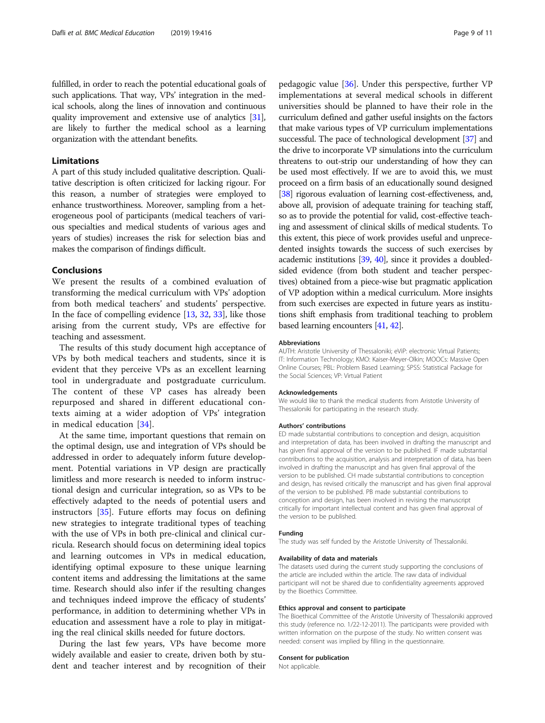fulfilled, in order to reach the potential educational goals of such applications. That way, VPs' integration in the medical schools, along the lines of innovation and continuous quality improvement and extensive use of analytics [\[31](#page-9-0)], are likely to further the medical school as a learning organization with the attendant benefits.

#### Limitations

A part of this study included qualitative description. Qualitative description is often criticized for lacking rigour. For this reason, a number of strategies were employed to enhance trustworthiness. Moreover, sampling from a heterogeneous pool of participants (medical teachers of various specialties and medical students of various ages and years of studies) increases the risk for selection bias and makes the comparison of findings difficult.

#### Conclusions

We present the results of a combined evaluation of transforming the medical curriculum with VPs' adoption from both medical teachers' and students' perspective. In the face of compelling evidence [[13](#page-9-0), [32](#page-9-0), [33](#page-9-0)], like those arising from the current study, VPs are effective for teaching and assessment.

The results of this study document high acceptance of VPs by both medical teachers and students, since it is evident that they perceive VPs as an excellent learning tool in undergraduate and postgraduate curriculum. The content of these VP cases has already been repurposed and shared in different educational contexts aiming at a wider adoption of VPs' integration in medical education [[34\]](#page-9-0).

At the same time, important questions that remain on the optimal design, use and integration of VPs should be addressed in order to adequately inform future development. Potential variations in VP design are practically limitless and more research is needed to inform instructional design and curricular integration, so as VPs to be effectively adapted to the needs of potential users and instructors [\[35\]](#page-9-0). Future efforts may focus on defining new strategies to integrate traditional types of teaching with the use of VPs in both pre-clinical and clinical curricula. Research should focus on determining ideal topics and learning outcomes in VPs in medical education, identifying optimal exposure to these unique learning content items and addressing the limitations at the same time. Research should also infer if the resulting changes and techniques indeed improve the efficacy of students' performance, in addition to determining whether VPs in education and assessment have a role to play in mitigating the real clinical skills needed for future doctors.

During the last few years, VPs have become more widely available and easier to create, driven both by student and teacher interest and by recognition of their

pedagogic value [[36\]](#page-9-0). Under this perspective, further VP implementations at several medical schools in different universities should be planned to have their role in the curriculum defined and gather useful insights on the factors that make various types of VP curriculum implementations successful. The pace of technological development [[37](#page-9-0)] and the drive to incorporate VP simulations into the curriculum threatens to out-strip our understanding of how they can be used most effectively. If we are to avoid this, we must proceed on a firm basis of an educationally sound designed [[38](#page-9-0)] rigorous evaluation of learning cost-effectiveness, and, above all, provision of adequate training for teaching staff, so as to provide the potential for valid, cost-effective teaching and assessment of clinical skills of medical students. To this extent, this piece of work provides useful and unprecedented insights towards the success of such exercises by academic institutions [[39](#page-9-0), [40](#page-9-0)], since it provides a doubledsided evidence (from both student and teacher perspectives) obtained from a piece-wise but pragmatic application of VP adoption within a medical curriculum. More insights from such exercises are expected in future years as institutions shift emphasis from traditional teaching to problem based learning encounters [\[41,](#page-9-0) [42\]](#page-10-0).

#### Abbreviations

AUTH: Aristotle University of Thessaloniki; eViP: electronic Virtual Patients; IT: Information Technology; KMO: Kaiser-Meyer-Olkin; MOOCs: Massive Open Online Courses; PBL: Problem Based Learning; SPSS: Statistical Package for the Social Sciences; VP: Virtual Patient

#### Acknowledgements

We would like to thank the medical students from Aristotle University of Thessaloniki for participating in the research study.

#### Authors' contributions

ED made substantial contributions to conception and design, acquisition and interpretation of data, has been involved in drafting the manuscript and has given final approval of the version to be published. IF made substantial contributions to the acquisition, analysis and interpretation of data, has been involved in drafting the manuscript and has given final approval of the version to be published. CH made substantial contributions to conception and design, has revised critically the manuscript and has given final approval of the version to be published. PB made substantial contributions to conception and design, has been involved in revising the manuscript critically for important intellectual content and has given final approval of the version to be published.

#### Funding

The study was self funded by the Aristotle University of Thessaloniki.

#### Availability of data and materials

The datasets used during the current study supporting the conclusions of the article are included within the article. The raw data of individual participant will not be shared due to confidentiality agreements approved by the Bioethics Committee.

#### Ethics approval and consent to participate

The Bioethical Committee of the Aristotle University of Thessaloniki approved this study (reference no. 1/22-12-2011). The participants were provided with written information on the purpose of the study. No written consent was needed: consent was implied by filling in the questionnaire.

#### Consent for publication

Not applicable.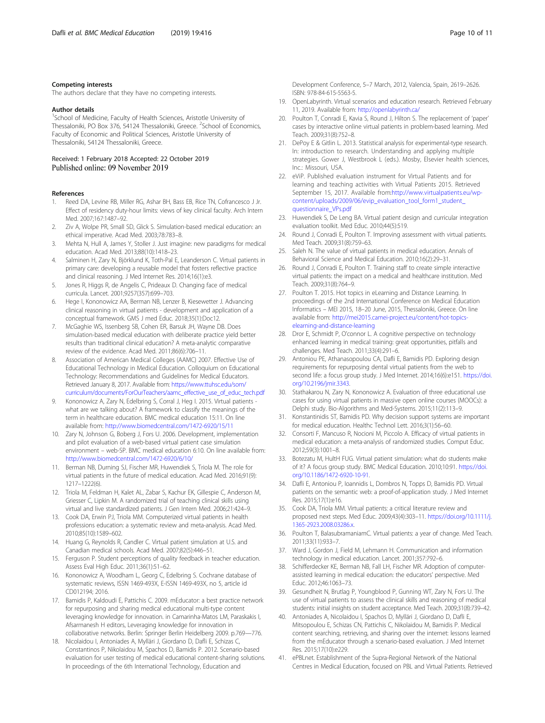#### <span id="page-9-0"></span>Competing interests

The authors declare that they have no competing interests.

#### Author details

<sup>1</sup>School of Medicine, Faculty of Health Sciences, Aristotle University of Thessaloniki, PO Box 376, 54124 Thessaloniki, Greece. <sup>2</sup>School of Economics, Faculty of Economic and Political Sciences, Aristotle University of Thessaloniki, 54124 Thessaloniki, Greece.

#### Received: 1 February 2018 Accepted: 22 October 2019 Published online: 09 November 2019

#### References

- Reed DA, Levine RB, Miller RG, Ashar BH, Bass EB, Rice TN, Cofrancesco J Jr. Effect of residency duty-hour limits: views of key clinical faculty. Arch Intern Med. 2007;167:1487–92.
- Ziv A, Wolpe PR, Small SD, Glick S, Simulation-based medical education: an ethical imperative. Acad Med. 2003;78:783–8.
- 3. Mehta N, Hull A, James Y, Stoller J. Just imagine: new paradigms for medical education. Acad Med. 2013;88(10):1418–23.
- 4. Salminen H, Zary N, Björklund K, Toth-Pal E, Leanderson C. Virtual patients in primary care: developing a reusable model that fosters reflective practice and clinical reasoning. J Med Internet Res. 2014;16(1):e3.
- Jones R, Higgs R, de Angelis C, Prideaux D. Changing face of medical curricula. Lancet. 2001;9257(357):699–703.
- 6. Hege I, Kononowicz AA, Berman NB, Lenzer B, Kiesewetter J. Advancing clinical reasoning in virtual patients - development and application of a conceptual framework. GMS J med Educ. 2018;35(1):Doc12.
- 7. McGaghie WS, Issenberg SB, Cohen ER, Barsuk JH, Wayne DB. Does simulation-based medical education with deliberate practice yield better results than traditional clinical education? A meta-analytic comparative review of the evidence. Acad Med. 2011;86(6):706–11.
- 8. Association of American Medical Colleges (AAMC) 2007. Effective Use of Educational Technology in Medical Education. Colloquium on Educational Technology: Recommendations and Guidelines for Medical Educators. Retrieved January 8, 2017. Available from: [https://www.ttuhsc.edu/som/](https://www.ttuhsc.edu/som/curriculum/documents/ForOurTeachers/aamc_effective_use_of_educ_tech.pdf) [curriculum/documents/ForOurTeachers/aamc\\_effective\\_use\\_of\\_educ\\_tech.pdf](https://www.ttuhsc.edu/som/curriculum/documents/ForOurTeachers/aamc_effective_use_of_educ_tech.pdf)
- Kononowicz A, Zary N, Edelbring S, Corral J, Heg I. 2015. Virtual patients what are we talking about? A framework to classify the meanings of the term in healthcare education. BMC medical education 15:11. On line available from: <http://www.biomedcentral.com/1472-6920/15/11>
- 10. Zary N, Johnson G, Boberg J, Fors U. 2006. Development, implementation and pilot evaluation of a web-based virtual patient case simulation environment – web-SP. BMC medical education 6:10. On line available from: <http://www.biomedcentral.com/1472-6920/6/10/>
- 11. Berman NB, Durning SJ, Fischer MR, Huwendiek S, Triola M. The role for virtual patients in the future of medical education. Acad Med. 2016;91(9): 1217–1222(6).
- 12. Triola M, Feldman H, Kalet AL, Zabar S, Kachur EK, Gillespie C, Anderson M, Griesser C, Lipkin M. A randomized trial of teaching clinical skills using virtual and live standardized patients. J Gen Intern Med. 2006;21:424–9.
- 13. Cook DA, Erwin PJ, Triola MM. Computerized virtual patients in health professions education: a systematic review and meta-analysis. Acad Med. 2010;85(10):1589–602.
- 14. Huang G, Reynolds R, Candler C. Virtual patient simulation at U.S. and Canadian medical schools. Acad Med. 2007;82(5):446–51.
- 15. Ferguson P. Student perceptions of quality feedback in teacher education. Assess Eval High Educ. 2011;36(1):51–62.
- 16. Kononowicz A, Woodham L, Georg C, Edelbring S. Cochrane database of systematic reviews, ISSN 1469-493X, E-ISSN 1469-493X, no 5, article id CD012194; 2016.
- 17. Bamidis P, Kaldoudi E, Pattichis C. 2009. mEducator: a best practice network for repurposing and sharing medical educational multi-type content leveraging knowledge for innovation. in Camarinha-Matos LM, Paraskakis I, Afsarmanesh H editors, Leveraging knowledge for innovation in collaborative networks. Berlin: Springer Berlin Heidelberg 2009. p.769—776.
- 18. Nicolaidou I, Antoniades A, Mylläri J, Giordano D, Dafli E, Schizas C, Constantinos P, Nikolaidou M, Spachos D, Bamidis P. 2012. Scenario-based evaluation for user testing of medical educational content-sharing solutions. In proceedings of the 6th International Technology, Education and

Development Conference, 5–7 March, 2012, Valencia, Spain, 2619–2626. ISBN: 978-84-615-5563-5.

- 19. OpenLabyrinth. Virtual scenarios and education research. Retrieved February 11, 2019. Available from: <http://openlabyrinth.ca/>
- 20. Poulton T, Conradi E, Kavia S, Round J, Hilton S. The replacement of 'paper' cases by interactive online virtual patients in problem-based learning. Med Teach. 2009;31(8):752–8.
- 21. DePoy E & Gitlin L. 2013. Statistical analysis for experimental-type research. In: introduction to research. Understanding and applying multiple strategies. Gower J, Westbrook L (eds.). Mosby, Elsevier health sciences, Inc.: Missouri, USA.
- 22. eViP. Published evaluation instrument for Virtual Patients and for learning and teaching activities with Virtual Patients 2015. Retrieved September 15, 2017. Available from:[http://www.virtualpatients.eu/wp](http://www.virtualpatients.eu/wp-content/uploads/2009/06/evip_evaluation_tool_form1_student_questionnaire_VPs.pdf)[content/uploads/2009/06/evip\\_evaluation\\_tool\\_form1\\_student\\_](http://www.virtualpatients.eu/wp-content/uploads/2009/06/evip_evaluation_tool_form1_student_questionnaire_VPs.pdf) [questionnaire\\_VPs.pdf](http://www.virtualpatients.eu/wp-content/uploads/2009/06/evip_evaluation_tool_form1_student_questionnaire_VPs.pdf)
- 23. Huwendiek S, De Leng BA. Virtual patient design and curricular integration evaluation toolkit. Med Educ. 2010;44(5):519.
- 24. Round J, Conradi E, Poulton T. Improving assessment with virtual patients. Med Teach. 2009;31(8):759–63.
- 25. Saleh N. The value of virtual patients in medical education. Annals of Behavioral Science and Medical Education. 2010;16(2):29–31.
- 26. Round J, Conradi E, Poulton T. Training staff to create simple interactive virtual patients: the impact on a medical and healthcare institution. Med Teach. 2009;31(8):764–9.
- 27. Poulton T. 2015. Hot topics in eLearning and Distance Learning. In proceedings of the 2nd International Conference on Medical Education Informatics – MEI 2015, 18–20 June, 2015, Thessaloniki, Greece. On line available from: [http://mei2015.camei-project.eu/content/hot-topics](http://mei2015.camei-project.eu/content/hot-topics-elearning-and-distance-learning)[elearning-and-distance-learning](http://mei2015.camei-project.eu/content/hot-topics-elearning-and-distance-learning)
- 28. Dror E, Schmidt P, O'connor L. A cognitive perspective on technology enhanced learning in medical training: great opportunities, pitfalls and challenges. Med Teach. 2011;33(4):291–6.
- 29. Antoniou PE, Athanasopoulou CA, Dafli E, Bamidis PD. Exploring design requirements for repurposing dental virtual patients from the web to second life: a focus group study. J Med Internet. 2014;16(6):e151. [https://doi.](https://doi.org/10.2196/jmir.3343) [org/10.2196/jmir.3343.](https://doi.org/10.2196/jmir.3343)
- 30. Stathakarou N, Zary N, Kononowicz A. Evaluation of three educational use cases for using virtual patients in massive open online courses (MOOCs): a Delphi study. Bio-Algorithms and Med-Systems. 2015;11(2):113–9.
- 31. Konstantinidis ST, Bamidis PD. Why decision support systems are important for medical education. Healthc Technol Lett. 2016;3(1):56–60.
- 32. Consorti F, Mancuso R, Nocioni M, Piccolo A. Efficacy of virtual patients in medical education: a meta-analysis of randomized studies. Comput Educ. 2012;59(3):1001–8.
- 33. Botezatu M, HultH FUG. Virtual patient simulation: what do students make of it? A focus group study. BMC Medical Education. 2010;10:91. [https://doi.](https://doi.org/10.1186/1472-6920-10-91) [org/10.1186/1472-6920-10-91](https://doi.org/10.1186/1472-6920-10-91).
- 34. Dafli E, Antoniou P, Ioannidis L, Dombros N, Topps D, Bamidis PD. Virtual patients on the semantic web: a proof-of-application study. J Med Internet Res. 2015;17(1):e16.
- 35. Cook DA, Triola MM. Virtual patients: a critical literature review and proposed next steps. Med Educ. 2009;43(4):303–11. [https://doi.org/10.1111/j.](https://doi.org/10.1111/j.1365-2923.2008.03286.x) [1365-2923.2008.03286.x](https://doi.org/10.1111/j.1365-2923.2008.03286.x).
- 36. Poulton T, BalasubramaniamC. Virtual patients: a year of change. Med Teach. 2011;33(11):933–7.
- 37. Ward J, Gordon J, Field M, Lehmann H. Communication and information technology in medical education. Lancet. 2001;357:792–6.
- 38. Schifferdecker KE, Berman NB, Fall LH, Fischer MR. Adoption of computerassisted learning in medical education: the educators' perspective. Med Educ. 2012;46:1063–73.
- 39. Gesundheit N, Brutlag P, Youngblood P, Gunning WT, Zary N, Fors U. The use of virtual patients to assess the clinical skills and reasoning of medical students: initial insights on student acceptance. Med Teach. 2009;31(8):739–42.
- 40. Antoniades A, Nicolaidou I, Spachos D, Mylläri J, Giordano D, Dafli E, Mitsopoulou E, Schizas CN, Pattichis C, Nikolaidou M, Bamidis P. Medical content searching, retrieving, and sharing over the internet: lessons learned from the mEducator through a scenario-based evaluation. J Med Internet Res. 2015;17(10):e229.
- 41. ePBLnet. Establishment of the Supra-Regional Network of the National Centres in Medical Education, focused on PBL and Virtual Patients. Retrieved